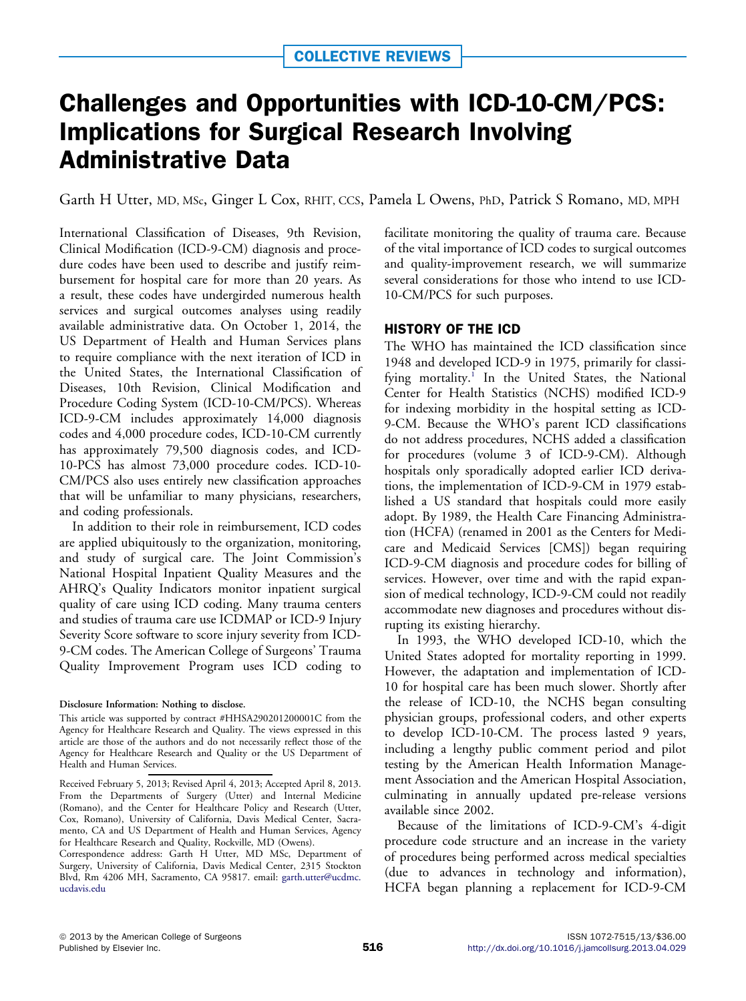# Challenges and Opportunities with ICD-10-CM/PCS: Implications for Surgical Research Involving Administrative Data

Garth H Utter, MD, MSc, Ginger L Cox, RHIT, CCS, Pamela L Owens, PhD, Patrick S Romano, MD, MPH

International Classification of Diseases, 9th Revision, Clinical Modification (ICD-9-CM) diagnosis and procedure codes have been used to describe and justify reimbursement for hospital care for more than 20 years. As a result, these codes have undergirded numerous health services and surgical outcomes analyses using readily available administrative data. On October 1, 2014, the US Department of Health and Human Services plans to require compliance with the next iteration of ICD in the United States, the International Classification of Diseases, 10th Revision, Clinical Modification and Procedure Coding System (ICD-10-CM/PCS). Whereas ICD-9-CM includes approximately 14,000 diagnosis codes and 4,000 procedure codes, ICD-10-CM currently has approximately 79,500 diagnosis codes, and ICD-10-PCS has almost 73,000 procedure codes. ICD-10- CM/PCS also uses entirely new classification approaches that will be unfamiliar to many physicians, researchers, and coding professionals.

In addition to their role in reimbursement, ICD codes are applied ubiquitously to the organization, monitoring, and study of surgical care. The Joint Commission's National Hospital Inpatient Quality Measures and the AHRQ's Quality Indicators monitor inpatient surgical quality of care using ICD coding. Many trauma centers and studies of trauma care use ICDMAP or ICD-9 Injury Severity Score software to score injury severity from ICD-9-CM codes. The American College of Surgeons' Trauma Quality Improvement Program uses ICD coding to

facilitate monitoring the quality of trauma care. Because of the vital importance of ICD codes to surgical outcomes and quality-improvement research, we will summarize several considerations for those who intend to use ICD-10-CM/PCS for such purposes.

## HISTORY OF THE ICD

The WHO has maintained the ICD classification since 1948 and developed ICD-9 in 1975, primarily for classi-fying mortality.<sup>[1](#page-9-0)</sup> In the United States, the National Center for Health Statistics (NCHS) modified ICD-9 for indexing morbidity in the hospital setting as ICD-9-CM. Because the WHO's parent ICD classifications do not address procedures, NCHS added a classification for procedures (volume 3 of ICD-9-CM). Although hospitals only sporadically adopted earlier ICD derivations, the implementation of ICD-9-CM in 1979 established a US standard that hospitals could more easily adopt. By 1989, the Health Care Financing Administration (HCFA) (renamed in 2001 as the Centers for Medicare and Medicaid Services [CMS]) began requiring ICD-9-CM diagnosis and procedure codes for billing of services. However, over time and with the rapid expansion of medical technology, ICD-9-CM could not readily accommodate new diagnoses and procedures without disrupting its existing hierarchy.

In 1993, the WHO developed ICD-10, which the United States adopted for mortality reporting in 1999. However, the adaptation and implementation of ICD-10 for hospital care has been much slower. Shortly after the release of ICD-10, the NCHS began consulting physician groups, professional coders, and other experts to develop ICD-10-CM. The process lasted 9 years, including a lengthy public comment period and pilot testing by the American Health Information Management Association and the American Hospital Association, culminating in annually updated pre-release versions available since 2002.

Because of the limitations of ICD-9-CM's 4-digit procedure code structure and an increase in the variety of procedures being performed across medical specialties (due to advances in technology and information), HCFA began planning a replacement for ICD-9-CM

Disclosure Information: Nothing to disclose.

This article was supported by contract #HHSA290201200001C from the Agency for Healthcare Research and Quality. The views expressed in this article are those of the authors and do not necessarily reflect those of the Agency for Healthcare Research and Quality or the US Department of Health and Human Services.

Received February 5, 2013; Revised April 4, 2013; Accepted April 8, 2013. From the Departments of Surgery (Utter) and Internal Medicine (Romano), and the Center for Healthcare Policy and Research (Utter, Cox, Romano), University of California, Davis Medical Center, Sacramento, CA and US Department of Health and Human Services, Agency for Healthcare Research and Quality, Rockville, MD (Owens).

Correspondence address: Garth H Utter, MD MSc, Department of Surgery, University of California, Davis Medical Center, 2315 Stockton Blvd, Rm 4206 MH, Sacramento, CA 95817. email: [garth.utter@ucdmc.](mailto:garth.utter@ucdmc.ucdavis.edu) [ucdavis.edu](mailto:garth.utter@ucdmc.ucdavis.edu)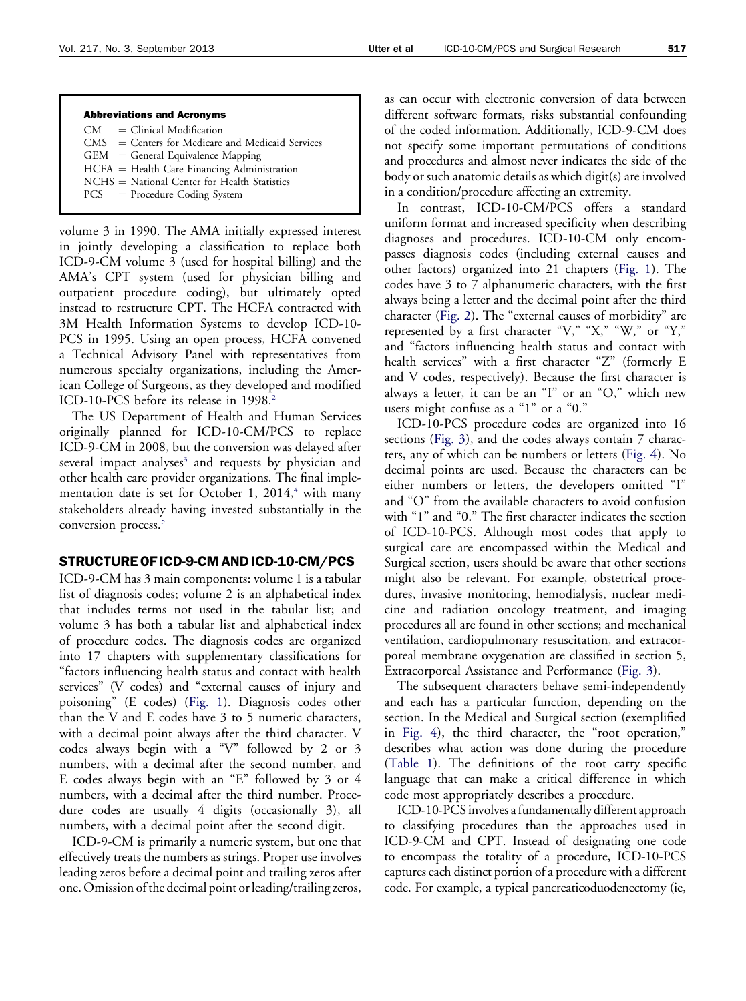#### Abbreviations and Acronyms

| $CM = Clinical Modification$                       |
|----------------------------------------------------|
| $CMS = Centers$ for Medicare and Medicaid Services |
| $GEM = General Equivalence Mapping$                |
| $HCFA = Health Care Financial Administration$      |
| $NCHS = National Center for Health Statistics$     |
| $PCS = Procedure Coding System$                    |

volume 3 in 1990. The AMA initially expressed interest in jointly developing a classification to replace both ICD-9-CM volume 3 (used for hospital billing) and the AMA's CPT system (used for physician billing and outpatient procedure coding), but ultimately opted instead to restructure CPT. The HCFA contracted with 3M Health Information Systems to develop ICD-10- PCS in 1995. Using an open process, HCFA convened a Technical Advisory Panel with representatives from numerous specialty organizations, including the American College of Surgeons, as they developed and modified ICD-10-PCS before its release in 1998.<sup>[2](#page-9-0)</sup>

The US Department of Health and Human Services originally planned for ICD-10-CM/PCS to replace ICD-9-CM in 2008, but the conversion was delayed after several impact analyses<sup>[3](#page-9-0)</sup> and requests by physician and other health care provider organizations. The final implementation date is set for October 1,  $2014,44$  $2014,44$  $2014,44$  with many stakeholders already having invested substantially in the conversion process.<sup>5</sup>

## STRUCTURE OF ICD-9-CM AND ICD-10-CM/PCS

ICD-9-CM has 3 main components: volume 1 is a tabular list of diagnosis codes; volume 2 is an alphabetical index that includes terms not used in the tabular list; and volume 3 has both a tabular list and alphabetical index of procedure codes. The diagnosis codes are organized into 17 chapters with supplementary classifications for "factors influencing health status and contact with health services" (V codes) and "external causes of injury and poisoning" (E codes) ([Fig. 1\)](#page-2-0). Diagnosis codes other than the V and E codes have 3 to 5 numeric characters, with a decimal point always after the third character. V codes always begin with a "V" followed by 2 or 3 numbers, with a decimal after the second number, and E codes always begin with an "E" followed by 3 or 4 numbers, with a decimal after the third number. Procedure codes are usually 4 digits (occasionally 3), all numbers, with a decimal point after the second digit.

ICD-9-CM is primarily a numeric system, but one that effectively treats the numbers as strings. Proper use involves leading zeros before a decimal point and trailing zeros after one. Omission of the decimal point or leading/trailing zeros,

as can occur with electronic conversion of data between different software formats, risks substantial confounding of the coded information. Additionally, ICD-9-CM does not specify some important permutations of conditions and procedures and almost never indicates the side of the body or such anatomic details as which digit(s) are involved in a condition/procedure affecting an extremity.

In contrast, ICD-10-CM/PCS offers a standard uniform format and increased specificity when describing diagnoses and procedures. ICD-10-CM only encompasses diagnosis codes (including external causes and other factors) organized into 21 chapters ([Fig. 1](#page-2-0)). The codes have 3 to 7 alphanumeric characters, with the first always being a letter and the decimal point after the third character ([Fig. 2\)](#page-3-0). The "external causes of morbidity" are represented by a first character "V," "X," "W," or "Y," and "factors influencing health status and contact with health services" with a first character "Z" (formerly E and V codes, respectively). Because the first character is always a letter, it can be an "I" or an "O," which new users might confuse as a "1" or a "0."

ICD-10-PCS procedure codes are organized into 16 sections [\(Fig. 3\)](#page-4-0), and the codes always contain 7 characters, any of which can be numbers or letters ([Fig. 4\)](#page-5-0). No decimal points are used. Because the characters can be either numbers or letters, the developers omitted "I" and "O" from the available characters to avoid confusion with "1" and "0." The first character indicates the section of ICD-10-PCS. Although most codes that apply to surgical care are encompassed within the Medical and Surgical section, users should be aware that other sections might also be relevant. For example, obstetrical procedures, invasive monitoring, hemodialysis, nuclear medicine and radiation oncology treatment, and imaging procedures all are found in other sections; and mechanical ventilation, cardiopulmonary resuscitation, and extracorporeal membrane oxygenation are classified in section 5, Extracorporeal Assistance and Performance [\(Fig. 3\)](#page-4-0).

The subsequent characters behave semi-independently and each has a particular function, depending on the section. In the Medical and Surgical section (exemplified in [Fig. 4\)](#page-5-0), the third character, the "root operation," describes what action was done during the procedure [\(Table 1\)](#page-6-0). The definitions of the root carry specific language that can make a critical difference in which code most appropriately describes a procedure.

ICD-10-PCS involves a fundamentally different approach to classifying procedures than the approaches used in ICD-9-CM and CPT. Instead of designating one code to encompass the totality of a procedure, ICD-10-PCS captures each distinct portion of a procedure with a different code. For example, a typical pancreaticoduodenectomy (ie,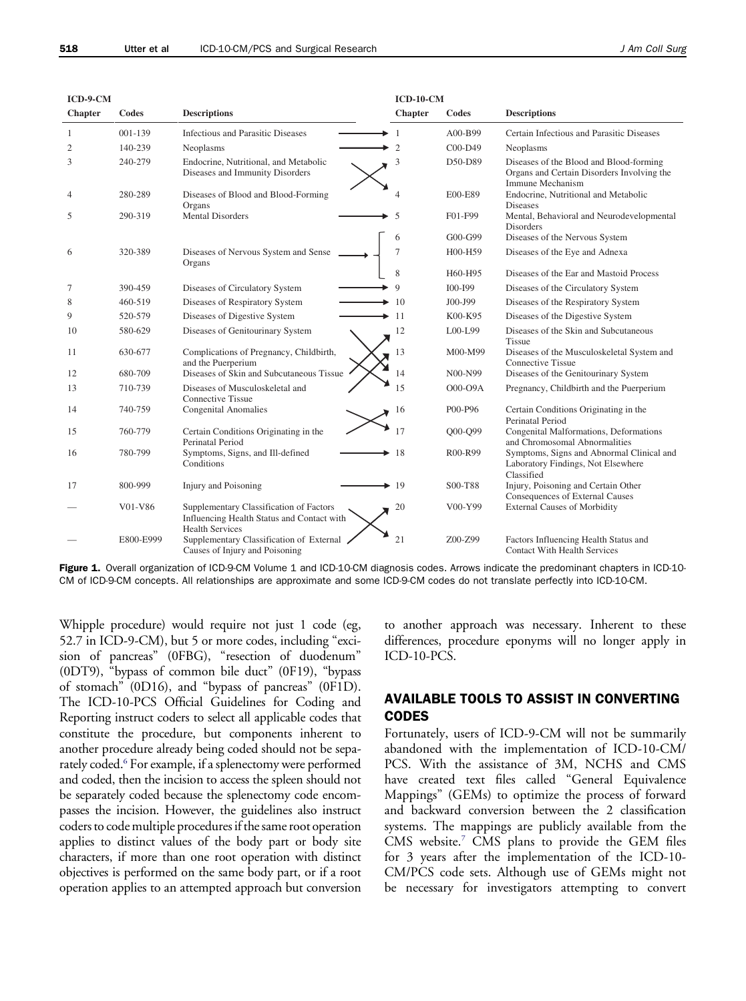<span id="page-2-0"></span>

| ICD-9-CM       |           |                                                                                                                 | $ICD-10-CM$    |            |                                                                                                           |  |  |
|----------------|-----------|-----------------------------------------------------------------------------------------------------------------|----------------|------------|-----------------------------------------------------------------------------------------------------------|--|--|
| <b>Chapter</b> | Codes     | <b>Descriptions</b>                                                                                             | <b>Chapter</b> | Codes      | <b>Descriptions</b>                                                                                       |  |  |
| 1              | 001-139   | Infectious and Parasitic Diseases                                                                               |                | A00-B99    | Certain Infectious and Parasitic Diseases                                                                 |  |  |
| $\overline{2}$ | 140-239   | Neoplasms                                                                                                       | $\overline{2}$ | C00-D49    | Neoplasms                                                                                                 |  |  |
| 3              | 240-279   | Endocrine, Nutritional, and Metabolic<br>Diseases and Immunity Disorders                                        | 3              | D50-D89    | Diseases of the Blood and Blood-forming<br>Organs and Certain Disorders Involving the<br>Immune Mechanism |  |  |
| $\overline{4}$ | 280-289   | Diseases of Blood and Blood-Forming<br>Organs                                                                   |                | E00-E89    | Endocrine, Nutritional and Metabolic<br><b>Diseases</b>                                                   |  |  |
| 5              | 290-319   | <b>Mental Disorders</b>                                                                                         | .5             | F01-F99    | Mental, Behavioral and Neurodevelopmental<br>Disorders                                                    |  |  |
|                |           |                                                                                                                 | 6              | G00-G99    | Diseases of the Nervous System                                                                            |  |  |
| 6              | 320-389   | Diseases of Nervous System and Sense<br>Organs                                                                  | 7              | H00-H59    | Diseases of the Eye and Adnexa                                                                            |  |  |
|                |           |                                                                                                                 | 8              | H60-H95    | Diseases of the Ear and Mastoid Process                                                                   |  |  |
| $\overline{7}$ | 390-459   | Diseases of Circulatory System                                                                                  | $\mathbf Q$    | I00-I99    | Diseases of the Circulatory System                                                                        |  |  |
| 8              | 460-519   | Diseases of Respiratory System                                                                                  | 10             | J00-J99    | Diseases of the Respiratory System                                                                        |  |  |
| 9              | 520-579   | Diseases of Digestive System                                                                                    | 11             | K00-K95    | Diseases of the Digestive System                                                                          |  |  |
| 10             | 580-629   | Diseases of Genitourinary System                                                                                | 12             | $LOO-L99$  | Diseases of the Skin and Subcutaneous<br>Tissue                                                           |  |  |
| 11             | 630-677   | Complications of Pregnancy, Childbirth,<br>and the Puerperium                                                   | 13             | M00-M99    | Diseases of the Musculoskeletal System and<br><b>Connective Tissue</b>                                    |  |  |
| 12             | 680-709   | Diseases of Skin and Subcutaneous Tissue                                                                        | 14             | N00-N99    | Diseases of the Genitourinary System                                                                      |  |  |
| 13             | 710-739   | Diseases of Musculoskeletal and<br><b>Connective Tissue</b>                                                     | 15             | $O$ 00-O9A | Pregnancy, Childbirth and the Puerperium                                                                  |  |  |
| 14             | 740-759   | <b>Congenital Anomalies</b>                                                                                     | 16             | P00-P96    | Certain Conditions Originating in the<br>Perinatal Period                                                 |  |  |
| 15             | 760-779   | Certain Conditions Originating in the<br>Perinatal Period                                                       | 17             | Q00-Q99    | Congenital Malformations, Deformations<br>and Chromosomal Abnormalities                                   |  |  |
| 16             | 780-799   | Symptoms, Signs, and Ill-defined<br>Conditions                                                                  | 18             | R00-R99    | Symptoms, Signs and Abnormal Clinical and<br>Laboratory Findings, Not Elsewhere<br>Classified             |  |  |
| 17             | 800-999   | Injury and Poisoning                                                                                            | 19             | S00-T88    | Injury, Poisoning and Certain Other<br>Consequences of External Causes                                    |  |  |
|                | V01-V86   | Supplementary Classification of Factors<br>Influencing Health Status and Contact with<br><b>Health Services</b> | 20             | V00-Y99    | <b>External Causes of Morbidity</b>                                                                       |  |  |
|                | E800-E999 | Supplementary Classification of External<br>Causes of Injury and Poisoning                                      | 21             | Z00-Z99    | Factors Influencing Health Status and<br><b>Contact With Health Services</b>                              |  |  |

Figure 1. Overall organization of ICD-9-CM Volume 1 and ICD-10-CM diagnosis codes. Arrows indicate the predominant chapters in ICD-10-CM of ICD-9-CM concepts. All relationships are approximate and some ICD-9-CM codes do not translate perfectly into ICD-10-CM.

Whipple procedure) would require not just 1 code (eg, 52.7 in ICD-9-CM), but 5 or more codes, including "excision of pancreas" (0FBG), "resection of duodenum" (0DT9), "bypass of common bile duct" (0F19), "bypass of stomach" (0D16), and "bypass of pancreas" (0F1D). The ICD-10-PCS Official Guidelines for Coding and Reporting instruct coders to select all applicable codes that constitute the procedure, but components inherent to another procedure already being coded should not be separately coded.<sup>6</sup> For example, if a splenectomy were performed and coded, then the incision to access the spleen should not be separately coded because the splenectomy code encompasses the incision. However, the guidelines also instruct coders to code multiple procedures if the same root operation applies to distinct values of the body part or body site characters, if more than one root operation with distinct objectives is performed on the same body part, or if a root operation applies to an attempted approach but conversion

to another approach was necessary. Inherent to these differences, procedure eponyms will no longer apply in ICD-10-PCS.

## AVAILABLE TOOLS TO ASSIST IN CONVERTING CODES

Fortunately, users of ICD-9-CM will not be summarily abandoned with the implementation of ICD-10-CM/ PCS. With the assistance of 3M, NCHS and CMS have created text files called "General Equivalence Mappings" (GEMs) to optimize the process of forward and backward conversion between the 2 classification systems. The mappings are publicly available from the CMS website.<sup>7</sup> CMS plans to provide the GEM files for 3 years after the implementation of the ICD-10- CM/PCS code sets. Although use of GEMs might not be necessary for investigators attempting to convert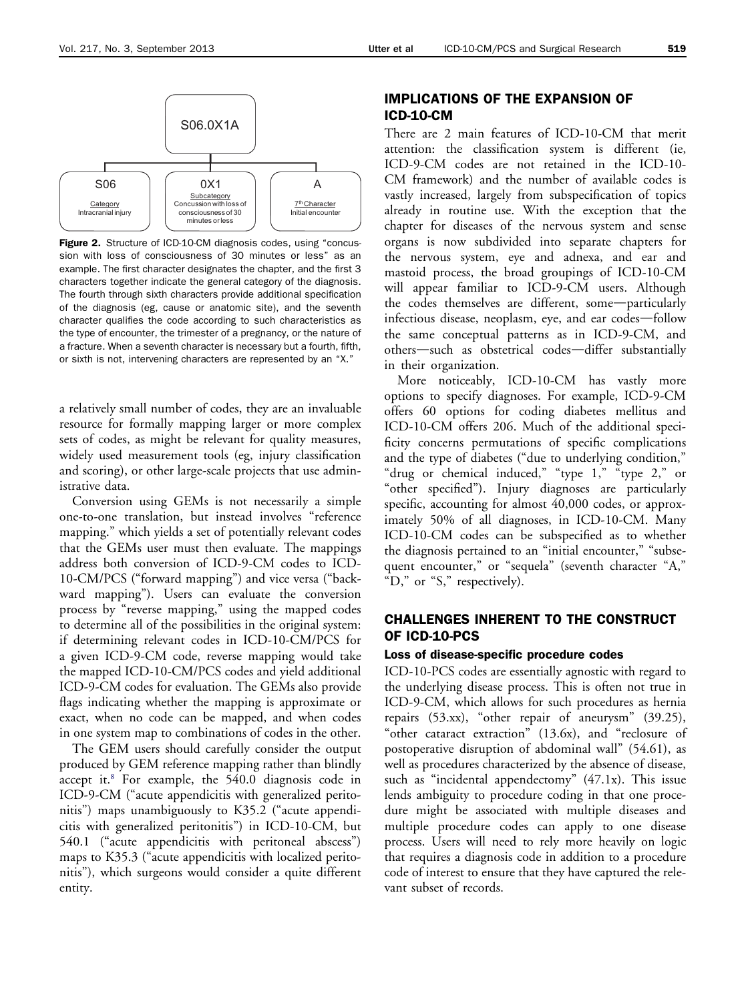<span id="page-3-0"></span>

Figure 2. Structure of ICD-10-CM diagnosis codes, using "concussion with loss of consciousness of 30 minutes or less" as an example. The first character designates the chapter, and the first 3 characters together indicate the general category of the diagnosis. The fourth through sixth characters provide additional specification of the diagnosis (eg, cause or anatomic site), and the seventh character qualifies the code according to such characteristics as the type of encounter, the trimester of a pregnancy, or the nature of a fracture. When a seventh character is necessary but a fourth, fifth, or sixth is not, intervening characters are represented by an "X."

a relatively small number of codes, they are an invaluable resource for formally mapping larger or more complex sets of codes, as might be relevant for quality measures, widely used measurement tools (eg, injury classification and scoring), or other large-scale projects that use administrative data.

Conversion using GEMs is not necessarily a simple one-to-one translation, but instead involves "reference mapping." which yields a set of potentially relevant codes that the GEMs user must then evaluate. The mappings address both conversion of ICD-9-CM codes to ICD-10-CM/PCS ("forward mapping") and vice versa ("backward mapping"). Users can evaluate the conversion process by "reverse mapping," using the mapped codes to determine all of the possibilities in the original system: if determining relevant codes in ICD-10-CM/PCS for a given ICD-9-CM code, reverse mapping would take the mapped ICD-10-CM/PCS codes and yield additional ICD-9-CM codes for evaluation. The GEMs also provide flags indicating whether the mapping is approximate or exact, when no code can be mapped, and when codes in one system map to combinations of codes in the other.

The GEM users should carefully consider the output produced by GEM reference mapping rather than blindly accept it.<sup>8</sup> For example, the  $540.0$  diagnosis code in ICD-9-CM ("acute appendicitis with generalized peritonitis") maps unambiguously to K35.2 ("acute appendicitis with generalized peritonitis") in ICD-10-CM, but 540.1 ("acute appendicitis with peritoneal abscess") maps to K35.3 ("acute appendicitis with localized peritonitis"), which surgeons would consider a quite different entity.

## IMPLICATIONS OF THE EXPANSION OF ICD-10-CM

There are 2 main features of ICD-10-CM that merit attention: the classification system is different (ie, ICD-9-CM codes are not retained in the ICD-10- CM framework) and the number of available codes is vastly increased, largely from subspecification of topics already in routine use. With the exception that the chapter for diseases of the nervous system and sense organs is now subdivided into separate chapters for the nervous system, eye and adnexa, and ear and mastoid process, the broad groupings of ICD-10-CM will appear familiar to ICD-9-CM users. Although the codes themselves are different, some-particularly infectious disease, neoplasm, eye, and ear codes—follow the same conceptual patterns as in ICD-9-CM, and others—such as obstetrical codes—differ substantially in their organization.

More noticeably, ICD-10-CM has vastly more options to specify diagnoses. For example, ICD-9-CM offers 60 options for coding diabetes mellitus and ICD-10-CM offers 206. Much of the additional specificity concerns permutations of specific complications and the type of diabetes ("due to underlying condition," "drug or chemical induced," "type 1," "type 2," or "other specified"). Injury diagnoses are particularly specific, accounting for almost 40,000 codes, or approximately 50% of all diagnoses, in ICD-10-CM. Many ICD-10-CM codes can be subspecified as to whether the diagnosis pertained to an "initial encounter," "subsequent encounter," or "sequela" (seventh character "A," "D," or "S," respectively).

# CHALLENGES INHERENT TO THE CONSTRUCT OF ICD-10-PCS

#### Loss of disease-specific procedure codes

ICD-10-PCS codes are essentially agnostic with regard to the underlying disease process. This is often not true in ICD-9-CM, which allows for such procedures as hernia repairs (53.xx), "other repair of aneurysm" (39.25), "other cataract extraction" (13.6x), and "reclosure of postoperative disruption of abdominal wall" (54.61), as well as procedures characterized by the absence of disease, such as "incidental appendectomy" (47.1x). This issue lends ambiguity to procedure coding in that one procedure might be associated with multiple diseases and multiple procedure codes can apply to one disease process. Users will need to rely more heavily on logic that requires a diagnosis code in addition to a procedure code of interest to ensure that they have captured the relevant subset of records.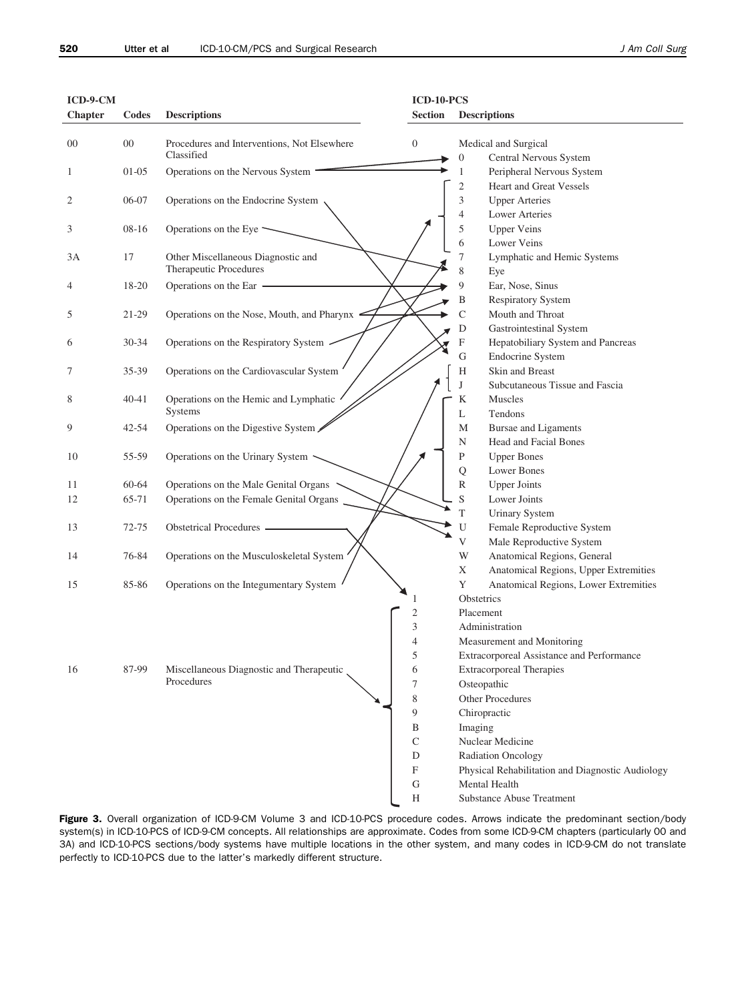| ГD. | 'M<br>$9.0^{\circ}$ |
|-----|---------------------|
|-----|---------------------|

| <b>Chapter</b> | Codes     | <b>Descriptions</b>                                          | <b>Section</b>          | <b>Descriptions</b>                                  |
|----------------|-----------|--------------------------------------------------------------|-------------------------|------------------------------------------------------|
| $00\,$         | $00\,$    | Procedures and Interventions, Not Elsewhere<br>Classified    | $\boldsymbol{0}$        | Medical and Surgical<br>Central Nervous System<br>0  |
| 1              | $01-05$   | Operations on the Nervous System                             |                         | 1<br>Peripheral Nervous System                       |
|                |           |                                                              |                         | $\overline{c}$<br><b>Heart and Great Vessels</b>     |
| 2              | 06-07     | Operations on the Endocrine System                           |                         | 3<br><b>Upper Arteries</b>                           |
|                |           |                                                              |                         | 4<br><b>Lower Arteries</b>                           |
| 3              | $08-16$   | Operations on the Eye -                                      |                         | 5<br><b>Upper Veins</b>                              |
|                |           |                                                              |                         | 6<br>Lower Veins                                     |
| 3A             | 17        | Other Miscellaneous Diagnostic and<br>Therapeutic Procedures |                         | 7<br>Lymphatic and Hemic Systems<br>8<br>Eye         |
| 4              | 18-20     | Operations on the Ear ·                                      |                         | 9<br>Ear, Nose, Sinus                                |
|                |           |                                                              |                         | B<br>Respiratory System                              |
| 5              | 21-29     | Operations on the Nose, Mouth, and Pharynx <                 |                         | $\overline{C}$<br>Mouth and Throat                   |
|                |           |                                                              |                         | D<br>Gastrointestinal System                         |
| 6              | $30 - 34$ | Operations on the Respiratory System                         |                         | F<br>Hepatobiliary System and Pancreas               |
|                |           |                                                              |                         | G<br>Endocrine System                                |
| 7              | 35-39     | Operations on the Cardiovascular System                      |                         | H<br>Skin and Breast                                 |
|                |           |                                                              |                         | $\mathbf{J}$<br>Subcutaneous Tissue and Fascia       |
| 8              | 40-41     | Operations on the Hemic and Lymphatic                        |                         | $\bf K$<br><b>Muscles</b>                            |
|                |           | Systems                                                      |                         | L<br>Tendons                                         |
| 9              | 42-54     | Operations on the Digestive System.                          |                         | М<br>Bursae and Ligaments                            |
|                |           |                                                              |                         | $\mathbf N$<br>Head and Facial Bones                 |
| 10             | 55-59     | Operations on the Urinary System                             |                         | $\mathbf{P}$<br><b>Upper Bones</b>                   |
|                |           |                                                              |                         | Q<br>Lower Bones                                     |
| 11             | $60 - 64$ | Operations on the Male Genital Organs                        |                         | $\mathbb R$<br><b>Upper Joints</b>                   |
| 12             | 65-71     | Operations on the Female Genital Organs                      |                         | S<br>Lower Joints                                    |
|                |           |                                                              |                         | T<br><b>Urinary System</b>                           |
| 13             | 72-75     | <b>Obstetrical Procedures</b>                                |                         | U<br>Female Reproductive System                      |
|                |           |                                                              |                         | V<br>Male Reproductive System                        |
| 14             | 76-84     | Operations on the Musculoskeletal System                     |                         | W<br>Anatomical Regions, General                     |
|                |           |                                                              |                         | $\mathbf X$<br>Anatomical Regions, Upper Extremities |
| 15             | 85-86     | Operations on the Integumentary System                       |                         | Y<br>Anatomical Regions, Lower Extremities           |
|                |           |                                                              |                         | Obstetrics                                           |
|                |           |                                                              | $\overline{\mathbf{c}}$ | Placement                                            |
|                |           |                                                              | 3                       | Administration                                       |
|                |           |                                                              | 4                       | Measurement and Monitoring                           |
|                |           |                                                              | 5                       | Extracorporeal Assistance and Performance            |
| 16             | 87-99     | Miscellaneous Diagnostic and Therapeutic                     | 6                       | <b>Extracorporeal Therapies</b>                      |
|                |           | Procedures                                                   | 7                       | Osteopathic                                          |
|                |           |                                                              | 8                       | <b>Other Procedures</b>                              |
|                |           |                                                              | 9                       | Chiropractic                                         |
|                |           |                                                              | $\, {\bf B}$            | Imaging                                              |
|                |           |                                                              | ${\bf C}$               | Nuclear Medicine                                     |
|                |           |                                                              | $\mathbf D$             | Radiation Oncology                                   |
|                |           |                                                              | $\mathbf F$             | Physical Rehabilitation and Diagnostic Audiology     |
|                |           |                                                              | ${\bf G}$               | Mental Health                                        |
|                |           |                                                              | $\,$ H                  | <b>Substance Abuse Treatment</b>                     |

**ICD-10-PCS** 

Figure 3. Overall organization of ICD-9-CM Volume 3 and ICD-10-PCS procedure codes. Arrows indicate the predominant section/body system(s) in ICD-10-PCS of ICD-9-CM concepts. All relationships are approximate. Codes from some ICD-9-CM chapters (particularly 00 and 3A) and ICD-10-PCS sections/body systems have multiple locations in the other system, and many codes in ICD-9-CM do not translate perfectly to ICD-10-PCS due to the latter's markedly different structure.

<span id="page-4-0"></span>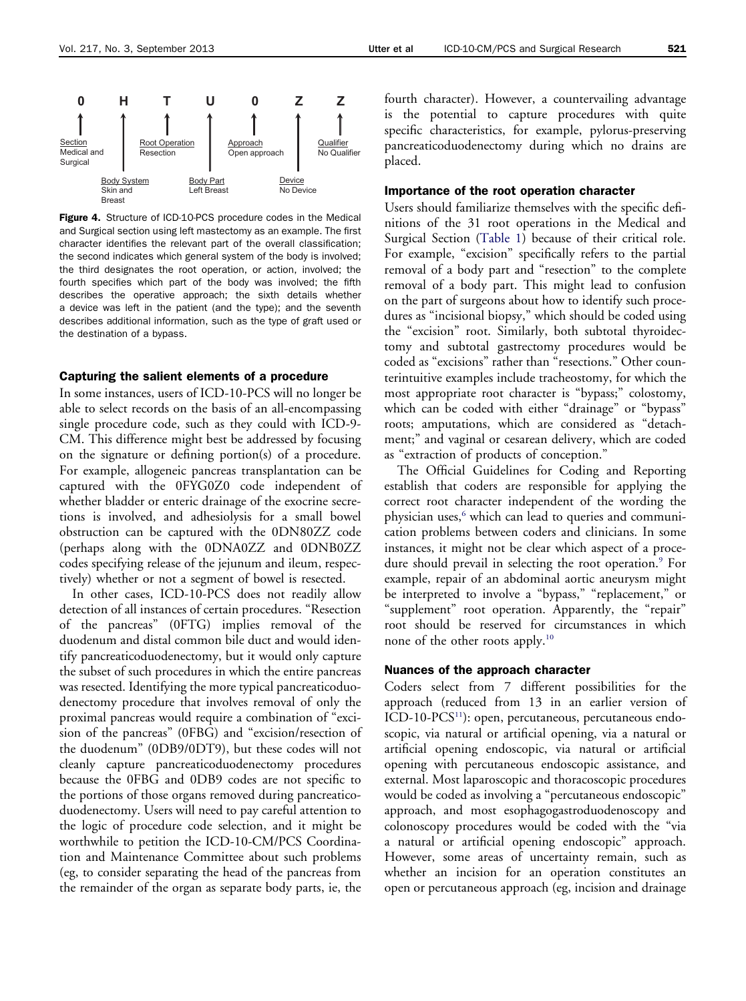<span id="page-5-0"></span>

Figure 4. Structure of ICD-10-PCS procedure codes in the Medical and Surgical section using left mastectomy as an example. The first character identifies the relevant part of the overall classification; the second indicates which general system of the body is involved; the third designates the root operation, or action, involved; the fourth specifies which part of the body was involved; the fifth describes the operative approach; the sixth details whether a device was left in the patient (and the type); and the seventh describes additional information, such as the type of graft used or the destination of a bypass.

#### Capturing the salient elements of a procedure

In some instances, users of ICD-10-PCS will no longer be able to select records on the basis of an all-encompassing single procedure code, such as they could with ICD-9- CM. This difference might best be addressed by focusing on the signature or defining portion(s) of a procedure. For example, allogeneic pancreas transplantation can be captured with the 0FYG0Z0 code independent of whether bladder or enteric drainage of the exocrine secretions is involved, and adhesiolysis for a small bowel obstruction can be captured with the 0DN80ZZ code (perhaps along with the 0DNA0ZZ and 0DNB0ZZ codes specifying release of the jejunum and ileum, respectively) whether or not a segment of bowel is resected.

In other cases, ICD-10-PCS does not readily allow detection of all instances of certain procedures. "Resection of the pancreas" (0FTG) implies removal of the duodenum and distal common bile duct and would identify pancreaticoduodenectomy, but it would only capture the subset of such procedures in which the entire pancreas was resected. Identifying the more typical pancreaticoduodenectomy procedure that involves removal of only the proximal pancreas would require a combination of "excision of the pancreas" (0FBG) and "excision/resection of the duodenum" (0DB9/0DT9), but these codes will not cleanly capture pancreaticoduodenectomy procedures because the 0FBG and 0DB9 codes are not specific to the portions of those organs removed during pancreaticoduodenectomy. Users will need to pay careful attention to the logic of procedure code selection, and it might be worthwhile to petition the ICD-10-CM/PCS Coordination and Maintenance Committee about such problems (eg, to consider separating the head of the pancreas from the remainder of the organ as separate body parts, ie, the

fourth character). However, a countervailing advantage is the potential to capture procedures with quite specific characteristics, for example, pylorus-preserving pancreaticoduodenectomy during which no drains are placed.

### Importance of the root operation character

Users should familiarize themselves with the specific definitions of the 31 root operations in the Medical and Surgical Section ([Table 1](#page-6-0)) because of their critical role. For example, "excision" specifically refers to the partial removal of a body part and "resection" to the complete removal of a body part. This might lead to confusion on the part of surgeons about how to identify such procedures as "incisional biopsy," which should be coded using the "excision" root. Similarly, both subtotal thyroidectomy and subtotal gastrectomy procedures would be coded as "excisions" rather than "resections." Other counterintuitive examples include tracheostomy, for which the most appropriate root character is "bypass;" colostomy, which can be coded with either "drainage" or "bypass" roots; amputations, which are considered as "detachment;" and vaginal or cesarean delivery, which are coded as "extraction of products of conception."

The Official Guidelines for Coding and Reporting establish that coders are responsible for applying the correct root character independent of the wording the physician uses,<sup>[6](#page-9-0)</sup> which can lead to queries and communication problems between coders and clinicians. In some instances, it might not be clear which aspect of a proce-dure should prevail in selecting the root operation.<sup>[9](#page-10-0)</sup> For example, repair of an abdominal aortic aneurysm might be interpreted to involve a "bypass," "replacement," or "supplement" root operation. Apparently, the "repair" root should be reserved for circumstances in which none of the other roots apply.<sup>[10](#page-10-0)</sup>

#### Nuances of the approach character

Coders select from 7 different possibilities for the approach (reduced from 13 in an earlier version of ICD-10-PCS<sup>11</sup>): open, percutaneous, percutaneous endoscopic, via natural or artificial opening, via a natural or artificial opening endoscopic, via natural or artificial opening with percutaneous endoscopic assistance, and external. Most laparoscopic and thoracoscopic procedures would be coded as involving a "percutaneous endoscopic" approach, and most esophagogastroduodenoscopy and colonoscopy procedures would be coded with the "via a natural or artificial opening endoscopic" approach. However, some areas of uncertainty remain, such as whether an incision for an operation constitutes an open or percutaneous approach (eg, incision and drainage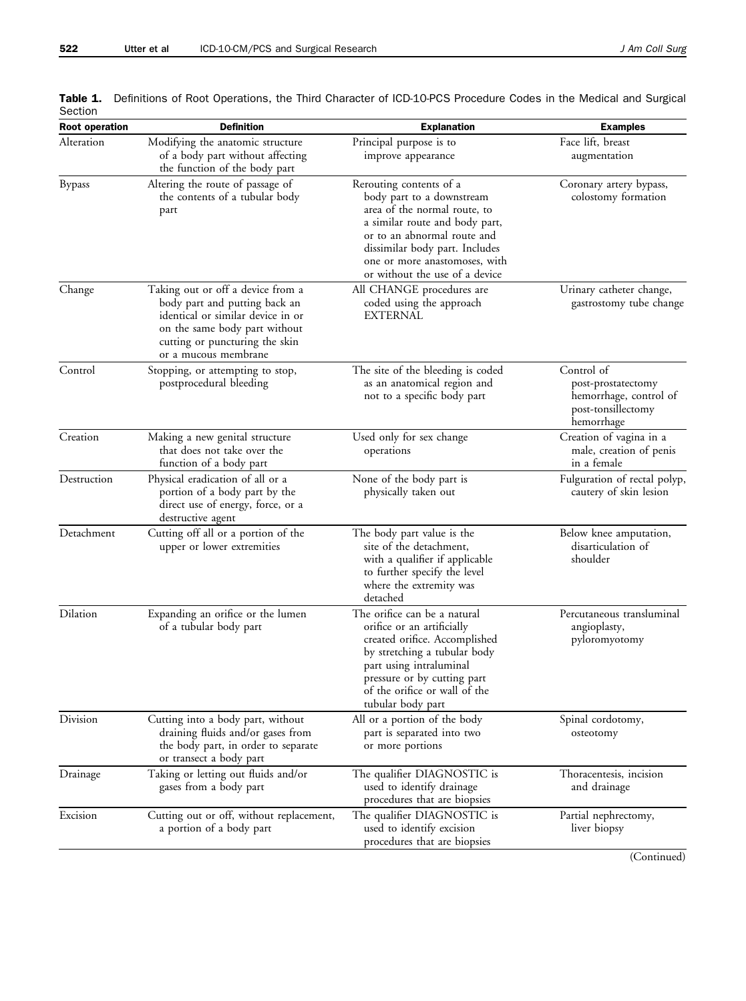| <b>Root operation</b> | <b>Definition</b>                                                                                                                                                                                  | <b>Explanation</b>                                                                                                                                                                                                                                         | <b>Examples</b>                                                                                |  |  |
|-----------------------|----------------------------------------------------------------------------------------------------------------------------------------------------------------------------------------------------|------------------------------------------------------------------------------------------------------------------------------------------------------------------------------------------------------------------------------------------------------------|------------------------------------------------------------------------------------------------|--|--|
| Alteration            | Modifying the anatomic structure<br>of a body part without affecting<br>the function of the body part                                                                                              | Principal purpose is to<br>improve appearance                                                                                                                                                                                                              | Face lift, breast<br>augmentation                                                              |  |  |
| <b>Bypass</b>         | Altering the route of passage of<br>the contents of a tubular body<br>part                                                                                                                         | Rerouting contents of a<br>body part to a downstream<br>area of the normal route, to<br>a similar route and body part,<br>or to an abnormal route and<br>dissimilar body part. Includes<br>one or more anastomoses, with<br>or without the use of a device | Coronary artery bypass,<br>colostomy formation                                                 |  |  |
| Change                | Taking out or off a device from a<br>body part and putting back an<br>identical or similar device in or<br>on the same body part without<br>cutting or puncturing the skin<br>or a mucous membrane | All CHANGE procedures are<br>coded using the approach<br>EXTERNAL                                                                                                                                                                                          | Urinary catheter change,<br>gastrostomy tube change                                            |  |  |
| Control               | Stopping, or attempting to stop,<br>postprocedural bleeding                                                                                                                                        | The site of the bleeding is coded<br>as an anatomical region and<br>not to a specific body part                                                                                                                                                            | Control of<br>post-prostatectomy<br>hemorrhage, control of<br>post-tonsillectomy<br>hemorrhage |  |  |
| Creation              | Making a new genital structure<br>that does not take over the<br>function of a body part                                                                                                           | Used only for sex change<br>operations                                                                                                                                                                                                                     | Creation of vagina in a<br>male, creation of penis<br>in a female                              |  |  |
| Destruction           | Physical eradication of all or a<br>portion of a body part by the<br>direct use of energy, force, or a<br>destructive agent                                                                        | None of the body part is<br>physically taken out                                                                                                                                                                                                           | Fulguration of rectal polyp,<br>cautery of skin lesion                                         |  |  |
| Detachment            | Cutting off all or a portion of the<br>upper or lower extremities                                                                                                                                  | The body part value is the<br>site of the detachment,<br>with a qualifier if applicable<br>to further specify the level<br>where the extremity was<br>detached                                                                                             | Below knee amputation,<br>disarticulation of<br>shoulder                                       |  |  |
| Dilation              | Expanding an orifice or the lumen<br>of a tubular body part                                                                                                                                        | The orifice can be a natural<br>orifice or an artificially<br>created orifice. Accomplished<br>by stretching a tubular body<br>part using intraluminal<br>pressure or by cutting part<br>of the orifice or wall of the<br>tubular body part                | Percutaneous transluminal<br>angioplasty,<br>pyloromyotomy                                     |  |  |
| Division              | Cutting into a body part, without<br>draining fluids and/or gases from<br>the body part, in order to separate<br>or transect a body part                                                           | All or a portion of the body<br>part is separated into two<br>or more portions                                                                                                                                                                             | Spinal cordotomy,<br>osteotomy                                                                 |  |  |
| Drainage              | Taking or letting out fluids and/or<br>gases from a body part                                                                                                                                      | The qualifier DIAGNOSTIC is<br>used to identify drainage<br>procedures that are biopsies                                                                                                                                                                   | Thoracentesis, incision<br>and drainage                                                        |  |  |
| Excision              | Cutting out or off, without replacement,<br>a portion of a body part                                                                                                                               | The qualifier DIAGNOSTIC is<br>used to identify excision<br>procedures that are biopsies                                                                                                                                                                   | Partial nephrectomy,<br>liver biopsy                                                           |  |  |
|                       |                                                                                                                                                                                                    |                                                                                                                                                                                                                                                            | (Continued)                                                                                    |  |  |

<span id="page-6-0"></span>

|         | Table 1. Definitions of Root Operations, the Third Character of ICD-10-PCS Procedure Codes in the Medical and Surgical |  |  |  |  |  |
|---------|------------------------------------------------------------------------------------------------------------------------|--|--|--|--|--|
| Section |                                                                                                                        |  |  |  |  |  |

(Continued)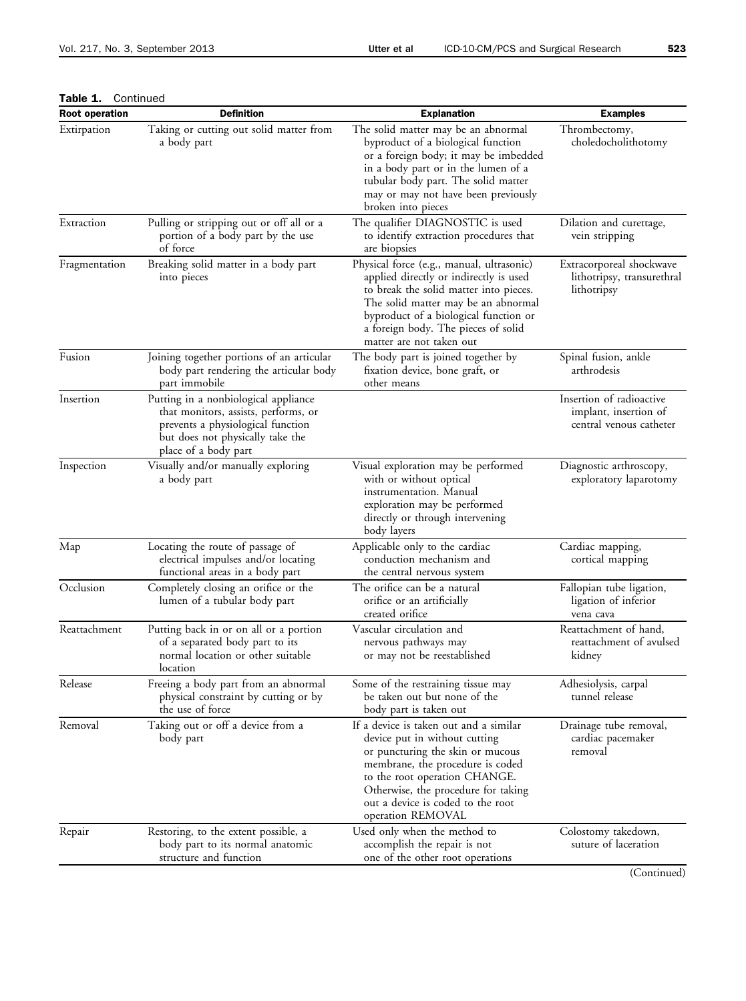| Root operation | <b>Definition</b>                                                                                                                                                             | <b>Explanation</b>                                                                                                                                                                                                                                                                | <b>Examples</b>                                                              |
|----------------|-------------------------------------------------------------------------------------------------------------------------------------------------------------------------------|-----------------------------------------------------------------------------------------------------------------------------------------------------------------------------------------------------------------------------------------------------------------------------------|------------------------------------------------------------------------------|
| Extirpation    | Taking or cutting out solid matter from<br>a body part                                                                                                                        | The solid matter may be an abnormal<br>byproduct of a biological function<br>or a foreign body; it may be imbedded<br>in a body part or in the lumen of a<br>tubular body part. The solid matter<br>may or may not have been previously<br>broken into pieces                     | Thrombectomy,<br>choledocholithotomy                                         |
| Extraction     | Pulling or stripping out or off all or a<br>portion of a body part by the use<br>of force                                                                                     | The qualifier DIAGNOSTIC is used<br>to identify extraction procedures that<br>are biopsies                                                                                                                                                                                        | Dilation and curettage,<br>vein stripping                                    |
| Fragmentation  | Breaking solid matter in a body part<br>into pieces                                                                                                                           | Physical force (e.g., manual, ultrasonic)<br>applied directly or indirectly is used<br>to break the solid matter into pieces.<br>The solid matter may be an abnormal<br>byproduct of a biological function or<br>a foreign body. The pieces of solid<br>matter are not taken out  | Extracorporeal shockwave<br>lithotripsy, transurethral<br>lithotripsy        |
| Fusion         | Joining together portions of an articular<br>body part rendering the articular body<br>part immobile                                                                          | The body part is joined together by<br>fixation device, bone graft, or<br>other means                                                                                                                                                                                             | Spinal fusion, ankle<br>arthrodesis                                          |
| Insertion      | Putting in a nonbiological appliance<br>that monitors, assists, performs, or<br>prevents a physiological function<br>but does not physically take the<br>place of a body part |                                                                                                                                                                                                                                                                                   | Insertion of radioactive<br>implant, insertion of<br>central venous catheter |
| Inspection     | Visually and/or manually exploring<br>a body part                                                                                                                             | Visual exploration may be performed<br>with or without optical<br>instrumentation. Manual<br>exploration may be performed<br>directly or through intervening<br>body layers                                                                                                       | Diagnostic arthroscopy,<br>exploratory laparotomy                            |
| Map            | Locating the route of passage of<br>electrical impulses and/or locating<br>functional areas in a body part                                                                    | Applicable only to the cardiac<br>conduction mechanism and<br>the central nervous system                                                                                                                                                                                          | Cardiac mapping,<br>cortical mapping                                         |
| Occlusion      | Completely closing an orifice or the<br>lumen of a tubular body part                                                                                                          | The orifice can be a natural<br>orifice or an artificially<br>created orifice                                                                                                                                                                                                     | Fallopian tube ligation,<br>ligation of inferior<br>vena cava                |
| Reattachment   | Putting back in or on all or a portion<br>of a separated body part to its<br>normal location or other suitable<br>location                                                    | Vascular circulation and<br>nervous pathways may<br>or may not be reestablished                                                                                                                                                                                                   | Reattachment of hand,<br>reattachment of avulsed<br>kidney                   |
| Release        | Freeing a body part from an abnormal<br>physical constraint by cutting or by<br>the use of force                                                                              | Some of the restraining tissue may<br>be taken out but none of the<br>body part is taken out                                                                                                                                                                                      | Adhesiolysis, carpal<br>tunnel release                                       |
| Removal        | Taking out or off a device from a<br>body part                                                                                                                                | If a device is taken out and a similar<br>device put in without cutting<br>or puncturing the skin or mucous<br>membrane, the procedure is coded<br>to the root operation CHANGE.<br>Otherwise, the procedure for taking<br>out a device is coded to the root<br>operation REMOVAL | Drainage tube removal,<br>cardiac pacemaker<br>removal                       |
| Repair         | Restoring, to the extent possible, a<br>body part to its normal anatomic<br>structure and function                                                                            | Used only when the method to<br>accomplish the repair is not<br>one of the other root operations                                                                                                                                                                                  | Colostomy takedown,<br>suture of laceration                                  |

#### Table 1. Continued

(Continued)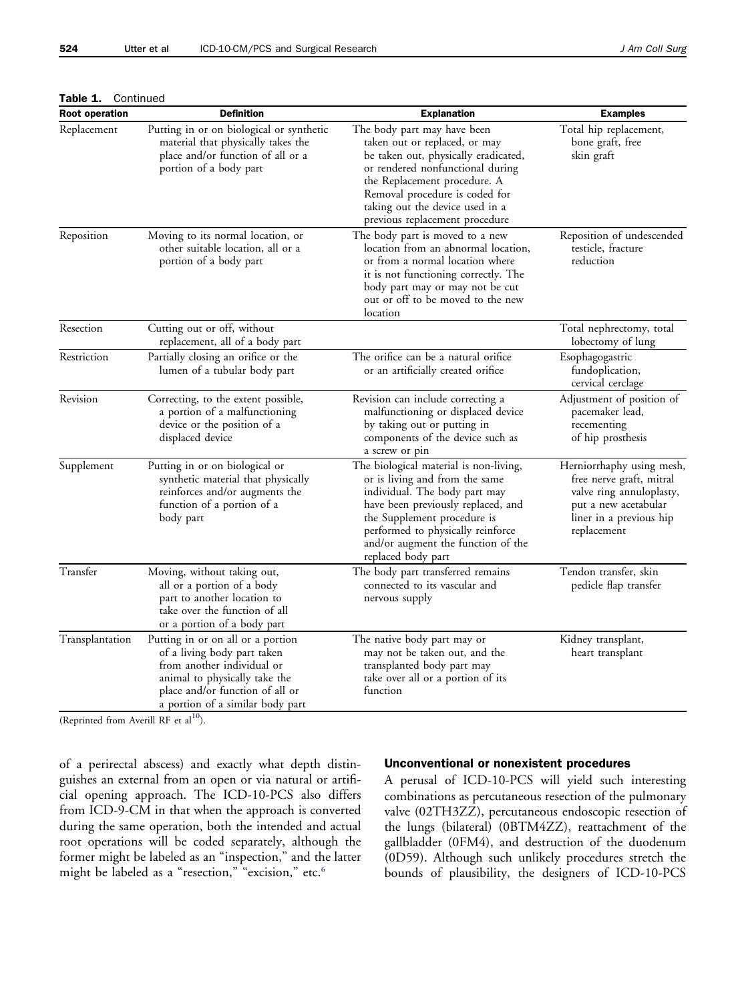| Root operation  | <b>Definition</b>                                                                                                                                                                                      | <b>Explanation</b>                                                                                                                                                                                                                                                              | <b>Examples</b>                                                                  |  |  |
|-----------------|--------------------------------------------------------------------------------------------------------------------------------------------------------------------------------------------------------|---------------------------------------------------------------------------------------------------------------------------------------------------------------------------------------------------------------------------------------------------------------------------------|----------------------------------------------------------------------------------|--|--|
| Replacement     | Putting in or on biological or synthetic<br>material that physically takes the<br>place and/or function of all or a<br>portion of a body part                                                          | The body part may have been<br>taken out or replaced, or may<br>be taken out, physically eradicated,<br>or rendered nonfunctional during<br>the Replacement procedure. A<br>Removal procedure is coded for<br>taking out the device used in a<br>previous replacement procedure | Total hip replacement,<br>bone graft, free<br>skin graft                         |  |  |
| Reposition      | Moving to its normal location, or<br>other suitable location, all or a<br>portion of a body part                                                                                                       | The body part is moved to a new<br>location from an abnormal location,<br>or from a normal location where<br>it is not functioning correctly. The<br>body part may or may not be cut<br>out or off to be moved to the new<br>location                                           | Reposition of undescended<br>testicle, fracture<br>reduction                     |  |  |
| Resection       | Cutting out or off, without<br>replacement, all of a body part                                                                                                                                         |                                                                                                                                                                                                                                                                                 | Total nephrectomy, total<br>lobectomy of lung                                    |  |  |
| Restriction     | Partially closing an orifice or the<br>lumen of a tubular body part                                                                                                                                    | The orifice can be a natural orifice<br>or an artificially created orifice                                                                                                                                                                                                      | Esophagogastric<br>fundoplication,<br>cervical cerclage                          |  |  |
| Revision        | Correcting, to the extent possible,<br>a portion of a malfunctioning<br>device or the position of a<br>displaced device                                                                                | Revision can include correcting a<br>malfunctioning or displaced device<br>by taking out or putting in<br>components of the device such as<br>a screw or pin                                                                                                                    | Adjustment of position of<br>pacemaker lead,<br>recementing<br>of hip prosthesis |  |  |
| Supplement      | Putting in or on biological or<br>synthetic material that physically<br>reinforces and/or augments the<br>function of a portion of a<br>body part                                                      | The biological material is non-living,<br>or is living and from the same<br>individual. The body part may<br>have been previously replaced, and<br>the Supplement procedure is<br>performed to physically reinforce<br>and/or augment the function of the<br>replaced body part |                                                                                  |  |  |
| Transfer        | Moving, without taking out,<br>all or a portion of a body<br>part to another location to<br>take over the function of all<br>or a portion of a body part                                               | The body part transferred remains<br>connected to its vascular and<br>nervous supply                                                                                                                                                                                            | Tendon transfer, skin<br>pedicle flap transfer                                   |  |  |
| Transplantation | Putting in or on all or a portion<br>of a living body part taken<br>from another individual or<br>animal to physically take the<br>place and/or function of all or<br>a portion of a similar body part | The native body part may or<br>may not be taken out, and the<br>transplanted body part may<br>take over all or a portion of its<br>function                                                                                                                                     | Kidney transplant,<br>heart transplant                                           |  |  |

#### Table 1. Continued

(Reprinted from Averill RF et  $al^{10}$ ).

of a perirectal abscess) and exactly what depth distinguishes an external from an open or via natural or artificial opening approach. The ICD-10-PCS also differs from ICD-9-CM in that when the approach is converted during the same operation, both the intended and actual root operations will be coded separately, although the former might be labeled as an "inspection," and the latter might be labeled as a "resection," "excision," etc.<sup>6</sup>

#### Unconventional or nonexistent procedures

A perusal of ICD-10-PCS will yield such interesting combinations as percutaneous resection of the pulmonary valve (02TH3ZZ), percutaneous endoscopic resection of the lungs (bilateral) (0BTM4ZZ), reattachment of the gallbladder (0FM4), and destruction of the duodenum (0D59). Although such unlikely procedures stretch the bounds of plausibility, the designers of ICD-10-PCS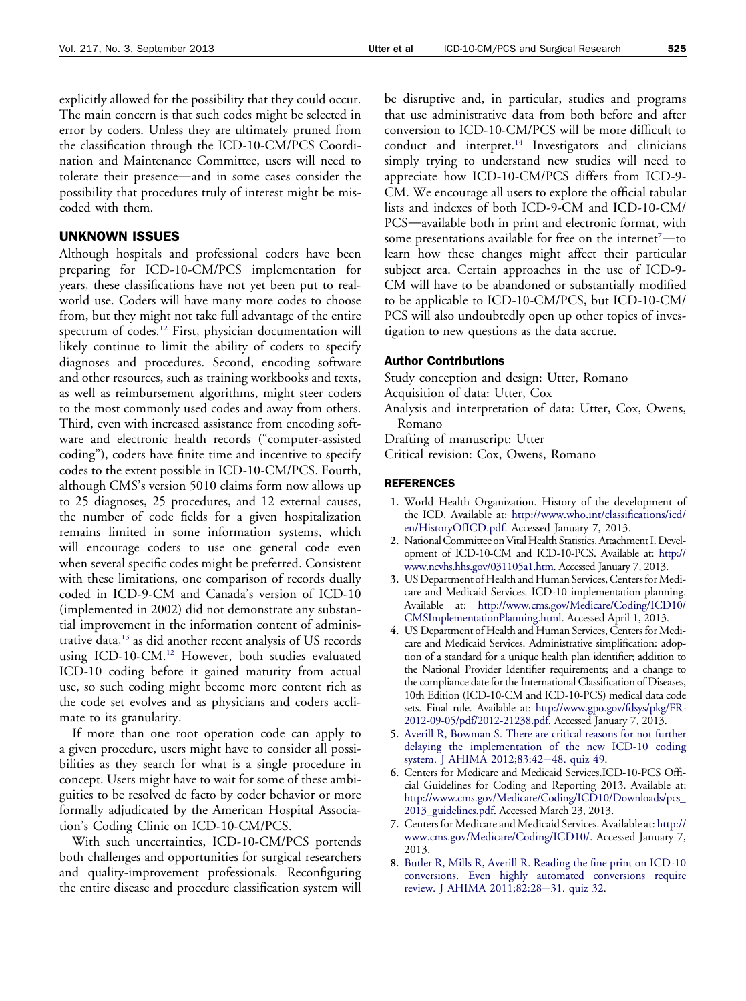<span id="page-9-0"></span>explicitly allowed for the possibility that they could occur. The main concern is that such codes might be selected in error by coders. Unless they are ultimately pruned from the classification through the ICD-10-CM/PCS Coordination and Maintenance Committee, users will need to tolerate their presence—and in some cases consider the possibility that procedures truly of interest might be miscoded with them.

### UNKNOWN ISSUES

Although hospitals and professional coders have been preparing for ICD-10-CM/PCS implementation for years, these classifications have not yet been put to realworld use. Coders will have many more codes to choose from, but they might not take full advantage of the entire spectrum of codes.<sup>12</sup> First, physician documentation will likely continue to limit the ability of coders to specify diagnoses and procedures. Second, encoding software and other resources, such as training workbooks and texts, as well as reimbursement algorithms, might steer coders to the most commonly used codes and away from others. Third, even with increased assistance from encoding software and electronic health records ("computer-assisted coding"), coders have finite time and incentive to specify codes to the extent possible in ICD-10-CM/PCS. Fourth, although CMS's version 5010 claims form now allows up to 25 diagnoses, 25 procedures, and 12 external causes, the number of code fields for a given hospitalization remains limited in some information systems, which will encourage coders to use one general code even when several specific codes might be preferred. Consistent with these limitations, one comparison of records dually coded in ICD-9-CM and Canada's version of ICD-10 (implemented in 2002) did not demonstrate any substantial improvement in the information content of administrative data, $13$  as did another recent analysis of US records using ICD-10-CM.<sup>12</sup> However, both studies evaluated ICD-10 coding before it gained maturity from actual use, so such coding might become more content rich as the code set evolves and as physicians and coders acclimate to its granularity.

If more than one root operation code can apply to a given procedure, users might have to consider all possibilities as they search for what is a single procedure in concept. Users might have to wait for some of these ambiguities to be resolved de facto by coder behavior or more formally adjudicated by the American Hospital Association's Coding Clinic on ICD-10-CM/PCS.

With such uncertainties, ICD-10-CM/PCS portends both challenges and opportunities for surgical researchers and quality-improvement professionals. Reconfiguring the entire disease and procedure classification system will be disruptive and, in particular, studies and programs that use administrative data from both before and after conversion to ICD-10-CM/PCS will be more difficult to conduct and interpret.<sup>[14](#page-10-0)</sup> Investigators and clinicians simply trying to understand new studies will need to appreciate how ICD-10-CM/PCS differs from ICD-9- CM. We encourage all users to explore the official tabular lists and indexes of both ICD-9-CM and ICD-10-CM/ PCS—available both in print and electronic format, with some presentations available for free on the internet<sup>7</sup>—to learn how these changes might affect their particular subject area. Certain approaches in the use of ICD-9- CM will have to be abandoned or substantially modified to be applicable to ICD-10-CM/PCS, but ICD-10-CM/ PCS will also undoubtedly open up other topics of investigation to new questions as the data accrue.

#### Author Contributions

Study conception and design: Utter, Romano

- Acquisition of data: Utter, Cox
- Analysis and interpretation of data: Utter, Cox, Owens, Romano

Drafting of manuscript: Utter

Critical revision: Cox, Owens, Romano

#### REFERENCES

- 1. World Health Organization. History of the development of the ICD. Available at: [http://www.who.int/classifications/icd/](http://www.who.int/classifications/icd/en/HistoryOfICD.pdf) [en/HistoryOfICD.pdf.](http://www.who.int/classifications/icd/en/HistoryOfICD.pdf) Accessed January 7, 2013.
- 2. National Committee on Vital Health Statistics. Attachment I. Development of ICD-10-CM and ICD-10-PCS. Available at: [http://](http://www.ncvhs.hhs.gov/031105a1.htm) [www.ncvhs.hhs.gov/031105a1.htm](http://www.ncvhs.hhs.gov/031105a1.htm). Accessed January 7, 2013.
- 3. US Department of Health and Human Services, Centers for Medicare and Medicaid Services. ICD-10 implementation planning. Available at: [http://www.cms.gov/Medicare/Coding/ICD10/](http://www.cms.gov/Medicare/Coding/ICD10/CMSImplementationPlanning.html) [CMSImplementationPlanning.html.](http://www.cms.gov/Medicare/Coding/ICD10/CMSImplementationPlanning.html) Accessed April 1, 2013.
- 4. US Department of Health and Human Services, Centers for Medicare and Medicaid Services. Administrative simplification: adoption of a standard for a unique health plan identifier; addition to the National Provider Identifier requirements; and a change to the compliance date for the International Classification of Diseases, 10th Edition (ICD-10-CM and ICD-10-PCS) medical data code sets. Final rule. Available at: [http://www.gpo.gov/fdsys/pkg/FR-](http://www.gpo.gov/fdsys/pkg/FR-2012-09-05/pdf/2012-21238.pdf)[2012-09-05/pdf/2012-21238.pdf.](http://www.gpo.gov/fdsys/pkg/FR-2012-09-05/pdf/2012-21238.pdf) Accessed January 7, 2013.
- 5. [Averill R, Bowman S. There are critical reasons for not further](http://refhub.elsevier.com/S1072-7515(13)00327-X/sref1) [delaying the implementation of the new ICD-10 coding](http://refhub.elsevier.com/S1072-7515(13)00327-X/sref1) [system. J AHIMA 2012;83:42](http://refhub.elsevier.com/S1072-7515(13)00327-X/sref1)–[48. quiz 49](http://refhub.elsevier.com/S1072-7515(13)00327-X/sref1).
- 6. Centers for Medicare and Medicaid Services.ICD-10-PCS Official Guidelines for Coding and Reporting 2013. Available at: [http://www.cms.gov/Medicare/Coding/ICD10/Downloads/pcs\\_](http://www.cms.gov/Medicare/Coding/ICD10/Downloads/pcs_2013_guidelines.pdf) [2013\\_guidelines.pdf](http://www.cms.gov/Medicare/Coding/ICD10/Downloads/pcs_2013_guidelines.pdf). Accessed March 23, 2013.
- 7. Centers for Medicare and Medicaid Services. Available at: [http://](http://www.cms.gov/Medicare/Coding/ICD10/) [www.cms.gov/Medicare/Coding/ICD10/.](http://www.cms.gov/Medicare/Coding/ICD10/) Accessed January 7, 2013.
- 8. [Butler R, Mills R, Averill R. Reading the fine print on ICD-10](http://refhub.elsevier.com/S1072-7515(13)00327-X/sref2) [conversions. Even highly automated conversions require](http://refhub.elsevier.com/S1072-7515(13)00327-X/sref2) [review. J AHIMA 2011;82:28](http://refhub.elsevier.com/S1072-7515(13)00327-X/sref2)-[31. quiz 32](http://refhub.elsevier.com/S1072-7515(13)00327-X/sref2).